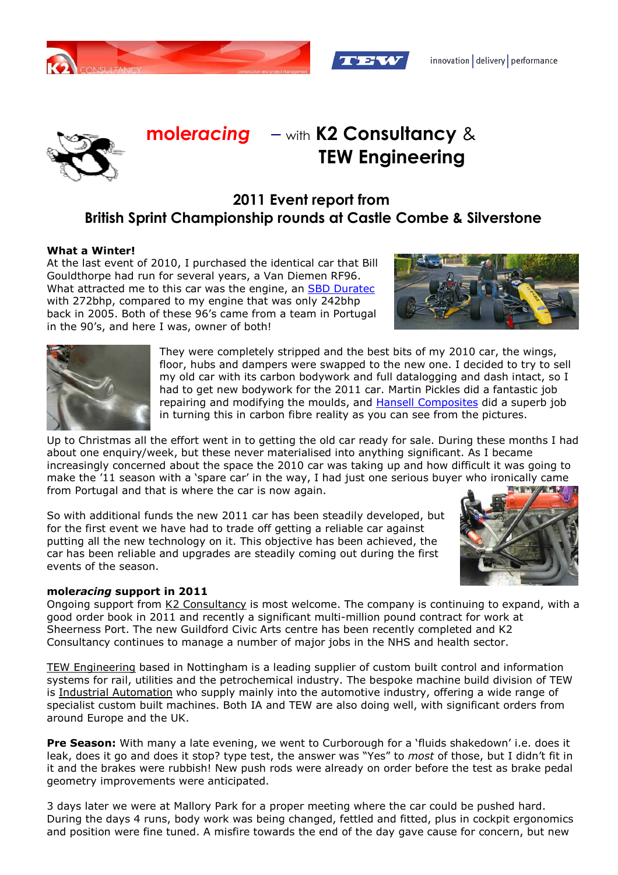





# **mole***racing*– with **K2 Consultancy** &  **TEW Engineering**

## **2011 Event report from British Sprint Championship rounds at Castle Combe & Silverstone**

### **What a Winter!**

At the last event of 2010, I purchased the identical car that Bill Gouldthorpe had run for several years, a Van Diemen RF96. What attracted me to this car was the engine, an SBD Duratec with 272bhp, compared to my engine that was only 242bhp back in 2005. Both of these 96's came from a team in Portugal in the 90's, and here I was, owner of both!





They were completely stripped and the best bits of my 2010 car, the wings, floor, hubs and dampers were swapped to the new one. I decided to try to sell my old car with its carbon bodywork and full datalogging and dash intact, so I had to get new bodywork for the 2011 car. Martin Pickles did a fantastic job repairing and modifying the moulds, and Hansell Composites did a superb job in turning this in carbon fibre reality as you can see from the pictures.

Up to Christmas all the effort went in to getting the old car ready for sale. During these months I had about one enquiry/week, but these never materialised into anything significant. As I became increasingly concerned about the space the 2010 car was taking up and how difficult it was going to make the '11 season with a 'spare car' in the way, I had just one serious buyer who ironically came from Portugal and that is where the car is now again.

So with additional funds the new 2011 car has been steadily developed, but for the first event we have had to trade off getting a reliable car against putting all the new technology on it. This objective has been achieved, the car has been reliable and upgrades are steadily coming out during the first events of the season.



#### **mole***racing* **support in 2011**

Ongoing support from K2 Consultancy is most welcome. The company is continuing to expand, with a good order book in 2011 and recently a significant multi-million pound contract for work at Sheerness Port. The new Guildford Civic Arts centre has been recently completed and K2 Consultancy continues to manage a number of major jobs in the NHS and health sector.

TEW Engineering based in Nottingham is a leading supplier of custom built control and information systems for rail, utilities and the petrochemical industry. The bespoke machine build division of TEW is Industrial Automation who supply mainly into the automotive industry, offering a wide range of specialist custom built machines. Both IA and TEW are also doing well, with significant orders from around Europe and the UK.

**Pre Season:** With many a late evening, we went to Curborough for a 'fluids shakedown' i.e. does it leak, does it go and does it stop? type test, the answer was "Yes" to *most* of those, but I didn't fit in it and the brakes were rubbish! New push rods were already on order before the test as brake pedal geometry improvements were anticipated.

3 days later we were at Mallory Park for a proper meeting where the car could be pushed hard. During the days 4 runs, body work was being changed, fettled and fitted, plus in cockpit ergonomics and position were fine tuned. A misfire towards the end of the day gave cause for concern, but new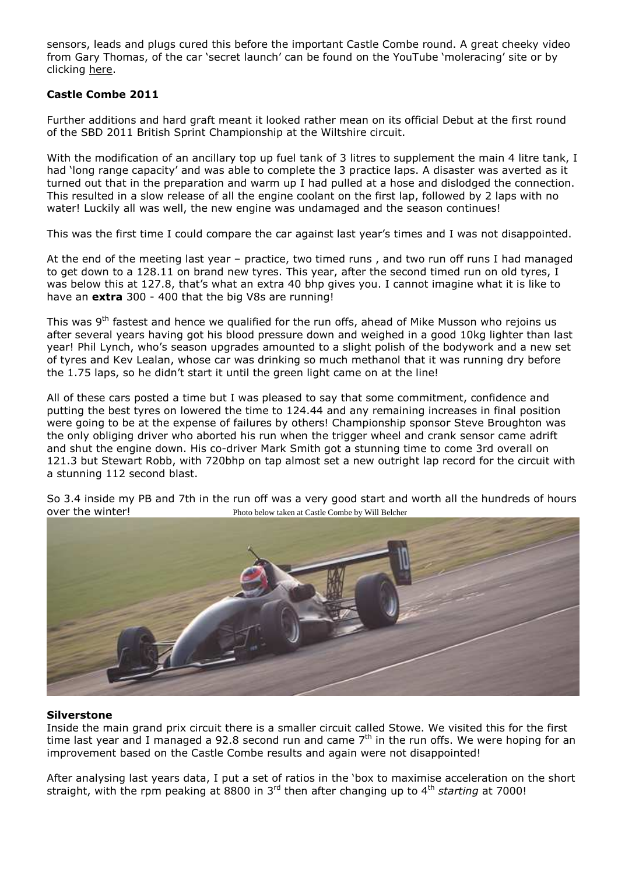sensors, leads and plugs cured this before the important Castle Combe round. A great cheeky video from Gary Thomas, of the car 'secret launch' can be found on the YouTube 'moleracing' site or by clicking here.

### **Castle Combe 2011**

Further additions and hard graft meant it looked rather mean on its official Debut at the first round of the SBD 2011 British Sprint Championship at the Wiltshire circuit.

With the modification of an ancillary top up fuel tank of 3 litres to supplement the main 4 litre tank, I had 'long range capacity' and was able to complete the 3 practice laps. A disaster was averted as it turned out that in the preparation and warm up I had pulled at a hose and dislodged the connection. This resulted in a slow release of all the engine coolant on the first lap, followed by 2 laps with no water! Luckily all was well, the new engine was undamaged and the season continues!

This was the first time I could compare the car against last year's times and I was not disappointed.

At the end of the meeting last year – practice, two timed runs , and two run off runs I had managed to get down to a 128.11 on brand new tyres. This year, after the second timed run on old tyres, I was below this at 127.8, that's what an extra 40 bhp gives you. I cannot imagine what it is like to have an **extra** 300 - 400 that the big V8s are running!

This was 9<sup>th</sup> fastest and hence we qualified for the run offs, ahead of Mike Musson who rejoins us after several years having got his blood pressure down and weighed in a good 10kg lighter than last year! Phil Lynch, who's season upgrades amounted to a slight polish of the bodywork and a new set of tyres and Kev Lealan, whose car was drinking so much methanol that it was running dry before the 1.75 laps, so he didn't start it until the green light came on at the line!

All of these cars posted a time but I was pleased to say that some commitment, confidence and putting the best tyres on lowered the time to 124.44 and any remaining increases in final position were going to be at the expense of failures by others! Championship sponsor Steve Broughton was the only obliging driver who aborted his run when the trigger wheel and crank sensor came adrift and shut the engine down. His co-driver Mark Smith got a stunning time to come 3rd overall on 121.3 but Stewart Robb, with 720bhp on tap almost set a new outright lap record for the circuit with a stunning 112 second blast.



So 3.4 inside my PB and 7th in the run off was a very good start and worth all the hundreds of hours over the winter!<br>
Photo below taken at Castle Combe by Will Belcher

#### **Silverstone**

Inside the main grand prix circuit there is a smaller circuit called Stowe. We visited this for the first time last year and I managed a 92.8 second run and came  $7<sup>th</sup>$  in the run offs. We were hoping for an improvement based on the Castle Combe results and again were not disappointed!

After analysing last years data, I put a set of ratios in the 'box to maximise acceleration on the short straight, with the rpm peaking at 8800 in 3rd then after changing up to 4th *starting* at 7000!